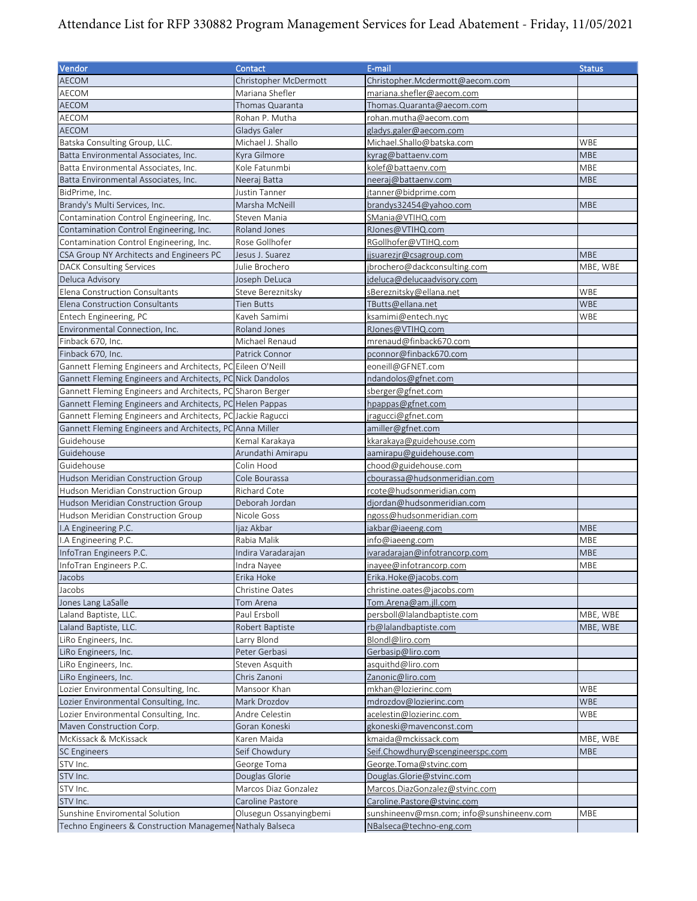## Attendance List for RFP 330882 Program Management Services for Lead Abatement - Friday, 11/05/2021

| Vendor                                                      | Contact                | E-mail                                    | <b>Status</b> |
|-------------------------------------------------------------|------------------------|-------------------------------------------|---------------|
| <b>AECOM</b>                                                | Christopher McDermott  | Christopher.Mcdermott@aecom.com           |               |
| AECOM                                                       | Mariana Shefler        | mariana.shefler@aecom.com                 |               |
| <b>AECOM</b>                                                | Thomas Quaranta        | Thomas. Quaranta@aecom.com                |               |
| AECOM                                                       | Rohan P. Mutha         | rohan.mutha@aecom.com                     |               |
| <b>AECOM</b>                                                | Gladys Galer           | gladys.galer@aecom.com                    |               |
| Batska Consulting Group, LLC.                               | Michael J. Shallo      | Michael.Shallo@batska.com                 | WBE           |
| Batta Environmental Associates, Inc.                        | Kyra Gilmore           | kyrag@battaenv.com                        | <b>MBE</b>    |
| Batta Environmental Associates, Inc.                        | Kole Fatunmbi          | kolef@battaenv.com                        | MBE           |
| Batta Environmental Associates, Inc.                        | Neeraj Batta           | neeraj@battaenv.com                       | <b>MBE</b>    |
| BidPrime, Inc.                                              | Justin Tanner          | jtanner@bidprime.com                      |               |
| Brandy's Multi Services, Inc.                               | Marsha McNeill         | brandys32454@yahoo.com                    | <b>MBE</b>    |
| Contamination Control Engineering, Inc.                     | Steven Mania           | SMania@VTIHQ.com                          |               |
| Contamination Control Engineering, Inc.                     | Roland Jones           | RJones@VTIHQ.com                          |               |
| Contamination Control Engineering, Inc.                     | Rose Gollhofer         | RGollhofer@VTIHQ.com                      |               |
| CSA Group NY Architects and Engineers PC                    | Jesus J. Suarez        | jjsuarezjr@csagroup.com                   | <b>MBE</b>    |
| <b>DACK Consulting Services</b>                             | Julie Brochero         | jbrochero@dackconsulting.com              | MBE, WBE      |
| Deluca Advisory                                             | Joseph DeLuca          | jdeluca@delucaadvisory.com                |               |
| Elena Construction Consultants                              | Steve Bereznitsky      | s Bereznitsky@ellana.net                  | WBE           |
| Elena Construction Consultants                              | Tien Butts             | TButts@ellana.net                         | <b>WBE</b>    |
| Entech Engineering, PC                                      | Kaveh Samimi           | ksamimi@entech.nyc                        | WBE           |
| Environmental Connection, Inc.                              | Roland Jones           | RJones@VTIHQ.com                          |               |
| Finback 670, Inc.                                           | Michael Renaud         | mrenaud@finback670.com                    |               |
| Finback 670, Inc.                                           | Patrick Connor         | pconnor@finback670.com                    |               |
| Gannett Fleming Engineers and Architects, PC Eileen O'Neill |                        | eoneill@GFNET.com                         |               |
| Gannett Fleming Engineers and Architects, PC Nick Dandolos  |                        | ndandolos@gfnet.com                       |               |
| Gannett Fleming Engineers and Architects, PC Sharon Berger  |                        | sberger@gfnet.com                         |               |
| Gannett Fleming Engineers and Architects, PC Helen Pappas   |                        | hpappas@gfnet.com                         |               |
| Gannett Fleming Engineers and Architects, PC Jackie Ragucci |                        | jragucci@gfnet.com                        |               |
| Gannett Fleming Engineers and Architects, PC Anna Miller    |                        | amiller@gfnet.com                         |               |
| Guidehouse                                                  |                        | kkarakaya@guidehouse.com                  |               |
|                                                             | Kemal Karakaya         |                                           |               |
| Guidehouse                                                  | Arundathi Amirapu      | aamirapu@guidehouse.com                   |               |
| Guidehouse                                                  | Colin Hood             | chood@guidehouse.com                      |               |
| Hudson Meridian Construction Group                          | Cole Bourassa          | cbourassa@hudsonmeridian.com              |               |
| Hudson Meridian Construction Group                          | Richard Cote           | rcote@hudsonmeridian.com                  |               |
| Hudson Meridian Construction Group                          | Deborah Jordan         | djordan@hudsonmeridian.com                |               |
| Hudson Meridian Construction Group                          | Nicole Goss            | ngoss@hudsonmeridian.com                  |               |
| I.A Engineering P.C.                                        | ljaz Akbar             | iakbar@iaeeng.com                         | <b>MBE</b>    |
| I.A Engineering P.C.                                        | Rabia Malik            | info@iaeeng.com                           | MBE           |
| InfoTran Engineers P.C.                                     | Indira Varadarajan     | ivaradarajan@infotrancorp.com             | <b>MBE</b>    |
| InfoTran Engineers P.C.                                     | Indra Nayee            | inayee@infotrancorp.com                   | <b>MBE</b>    |
| Jacobs                                                      | Erika Hoke             | Erika.Hoke@jacobs.com                     |               |
| Jacobs                                                      | Christine Oates        | christine.oates@jacobs.com                |               |
| Jones Lang LaSalle                                          | Tom Arena              | Tom.Arena@am.jll.com                      |               |
| Laland Baptiste, LLC.                                       | Paul Ersboll           | persboll@lalandbaptiste.com               | MBE, WBE      |
| Laland Baptiste, LLC.                                       | Robert Baptiste        | rb@lalandbaptiste.com                     | MBE, WBE      |
| LiRo Engineers, Inc.                                        | Larry Blond            | Blondl@liro.com                           |               |
| LiRo Engineers, Inc.                                        | Peter Gerbasi          | Gerbasip@liro.com                         |               |
| LiRo Engineers, Inc.                                        | Steven Asquith         | asquithd@liro.com                         |               |
| LiRo Engineers, Inc.                                        | Chris Zanoni           | Zanonic@liro.com                          |               |
| Lozier Environmental Consulting, Inc.                       | Mansoor Khan           | mkhan@lozierinc.com                       | WBE           |
| Lozier Environmental Consulting, Inc.                       | Mark Drozdov           | mdrozdov@lozierinc.com                    | <b>WBE</b>    |
| Lozier Environmental Consulting, Inc.                       | Andre Celestin         | acelestin@lozierinc.com                   | WBE           |
| Maven Construction Corp.                                    | Goran Koneski          | gkoneski@mavenconst.com                   |               |
| McKissack & McKissack                                       | Karen Maida            | kmaida@mckissack.com                      | MBE, WBE      |
| <b>SC Engineers</b>                                         | Seif Chowdury          | Seif.Chowdhury@scengineerspc.com          | <b>MBE</b>    |
| STV Inc.                                                    | George Toma            | George.Toma@stvinc.com                    |               |
| STV Inc.                                                    | Douglas Glorie         | Douglas.Glorie@stvinc.com                 |               |
| STV Inc.                                                    | Marcos Diaz Gonzalez   | Marcos.DiazGonzalez@stvinc.com            |               |
| STV Inc.                                                    | Caroline Pastore       | Caroline.Pastore@stvinc.com               |               |
| Sunshine Enviromental Solution                              | Olusegun Ossanyingbemi | sunshineenv@msn.com; info@sunshineenv.com | MBE           |
| Techno Engineers & Construction Managemer Nathaly Balseca   |                        | NBalseca@techno-eng.com                   |               |